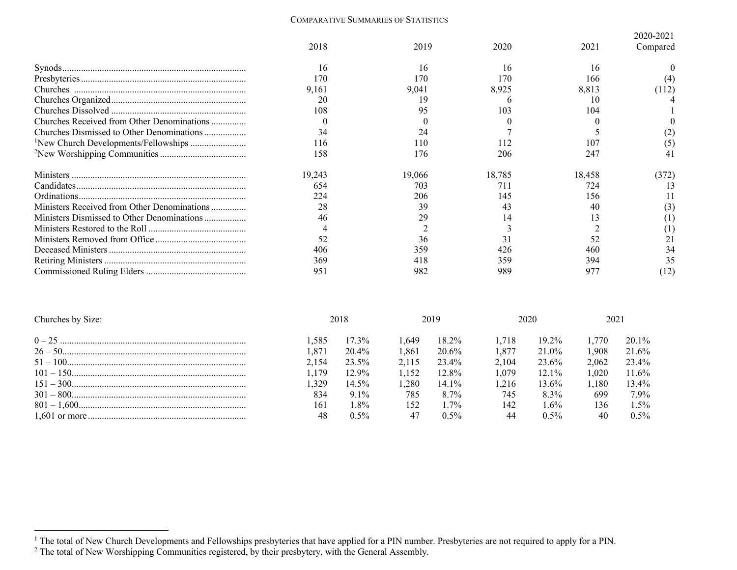## COMPARATIVE SUMMARIES OF STATISTICS

|                                             |        |        |        |        | 2020-2021      |  |
|---------------------------------------------|--------|--------|--------|--------|----------------|--|
|                                             | 2018   | 2019   | 2020   | 2021   | Compared       |  |
|                                             | 16     | 16     | 16     | 16     |                |  |
|                                             | 170    | 170    | 170    | 166    |                |  |
|                                             | 9,161  | 9,041  | 8,925  | 8,813  | (112)          |  |
|                                             | 20     | 19     |        | 10     |                |  |
|                                             | 108    | 95     | 103    | 104    |                |  |
| Churches Received from Other Denominations  |        |        |        |        |                |  |
| Churches Dismissed to Other Denominations   | 34     | 24     |        |        |                |  |
|                                             | 116    | l 10   |        | 107    | $\circ$        |  |
|                                             | 158    | 176    | 206    | 247    |                |  |
|                                             | 19,243 | 19,066 | 18,785 | 18,458 | (372)          |  |
|                                             | 654    | 703    | 711    | 724    |                |  |
|                                             | 224    | 206    | 145    | 156    |                |  |
| Ministers Received from Other Denominations | 28     | 39     | 43     | 40     | $\mathfrak{c}$ |  |
|                                             | 46     | 29     | 14     |        |                |  |
|                                             |        |        |        |        |                |  |
|                                             | 52     | 36     |        | 52     |                |  |
|                                             | 406    | 359    | 426    | 460    | 34             |  |
|                                             | 369    | 418    | 359    | 394    | 35             |  |
|                                             | 951    | 982    | 989    |        | (12)           |  |

| Churches by Size: | 2018  |          | 2019  |                | 2020  |          | 2021  |          |
|-------------------|-------|----------|-------|----------------|-------|----------|-------|----------|
|                   | .585  | $17.3\%$ | . 649 | 18.2%          | 1.718 | $19.2\%$ | 1.770 | $20.1\%$ |
|                   | .871  | 20.4%    | 1.861 | 20.6%          | 1.877 | 21.0%    | 1.908 | 21.6%    |
|                   | 2.154 | 23.5%    | 2.115 | 23.4%          | 2.104 | 23.6%    | 2.062 | 23.4%    |
|                   | .179  | 12.9%    | 1.152 | 12.8%          | 1.079 | $12.1\%$ | 1.020 | $11.6\%$ |
|                   | .329  | $14.5\%$ | .280  | $14.1\%$       | 1.216 | $13.6\%$ | 1.180 | 13.4%    |
|                   | 834   | $9.1\%$  | 785   | $8.7\%$        | 745   | 8.3%     | 699   | 7.9%     |
|                   | 161   | $.8\%$   | 152   | $\frac{70}{6}$ | 142   | $.6\%$   | 136   | $1.5\%$  |
|                   |       | $0.5\%$  | 47    | $0.5\%$        | 44    | $0.5\%$  | 40    | $0.5\%$  |

 $<sup>1</sup>$  The total of New Church Developments and Fellowships presbyteries that have applied for a PIN number. Presbyteries are not required to apply for a PIN.</sup>

<sup>&</sup>lt;sup>2</sup> The total of New Worshipping Communities registered, by their presbytery, with the General Assembly.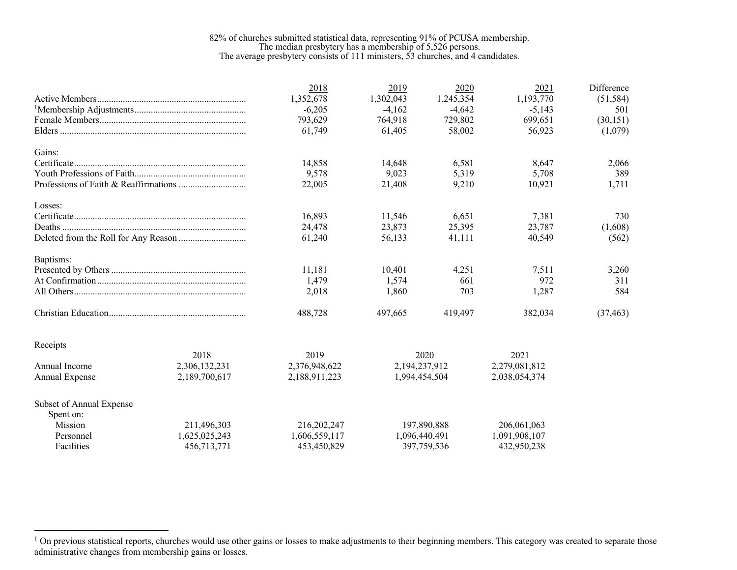## 82% of churches submitted statistical data, representing 91% of PCUSA membership. The median presbytery has a membership of 5,526 persons. The average presbytery consists of 111 ministers, 53 churches, and 4 candidates.

|                          |               | 2018          | 2019          | 2020          | 2021          | Difference |
|--------------------------|---------------|---------------|---------------|---------------|---------------|------------|
|                          |               | 1,352,678     | 1,302,043     | 1,245,354     | 1,193,770     | (51, 584)  |
|                          |               | $-6,205$      | $-4,162$      | $-4,642$      | $-5,143$      | 501        |
|                          |               | 793,629       | 764,918       | 729,802       | 699,651       | (30, 151)  |
|                          |               | 61,749        | 61,405        | 58,002        | 56,923        | (1,079)    |
| Gains:                   |               |               |               |               |               |            |
|                          |               | 14,858        | 14,648        | 6,581         | 8,647         | 2,066      |
|                          |               | 9,578         | 9,023         | 5,319         | 5,708         | 389        |
|                          |               | 22,005        | 21,408        | 9,210         | 10,921        | 1,711      |
| Losses:                  |               |               |               |               |               |            |
|                          |               | 16.893        | 11,546        | 6.651         | 7,381         | 730        |
|                          |               | 24,478        | 23,873        | 25,395        | 23,787        | (1,608)    |
|                          |               | 61,240        | 56,133        | 41,111        | 40,549        | (562)      |
| Baptisms:                |               |               |               |               |               |            |
|                          |               | 11,181        | 10,401        | 4,251         | 7,511         | 3,260      |
|                          |               | 1,479         | 1,574         | 661           | 972           | 311        |
|                          |               | 2,018         | 1,860         | 703           | 1,287         | 584        |
|                          |               | 488,728       | 497,665       | 419,497       | 382,034       | (37, 463)  |
| Receipts                 |               |               |               |               |               |            |
|                          | 2018          | 2019          |               | 2020          | 2021          |            |
| Annual Income            | 2,306,132,231 | 2,376,948,622 | 2,194,237,912 |               | 2,279,081,812 |            |
| Annual Expense           | 2,189,700,617 | 2,188,911,223 | 1,994,454,504 |               | 2,038,054,374 |            |
|                          |               |               |               |               |               |            |
| Subset of Annual Expense |               |               |               |               |               |            |
| Spent on:<br>Mission     | 211,496,303   | 216,202,247   |               | 197,890,888   | 206,061,063   |            |
| Personnel                |               |               |               |               |               |            |
|                          | 1,625,025,243 | 1,606,559,117 |               | 1,096,440,491 | 1,091,908,107 |            |
| Facilities               | 456,713,771   | 453,450,829   |               | 397,759,536   | 432,950,238   |            |

 $1$  On previous statistical reports, churches would use other gains or losses to make adjustments to their beginning members. This category was created to separate those administrative changes from membership gains or losses.